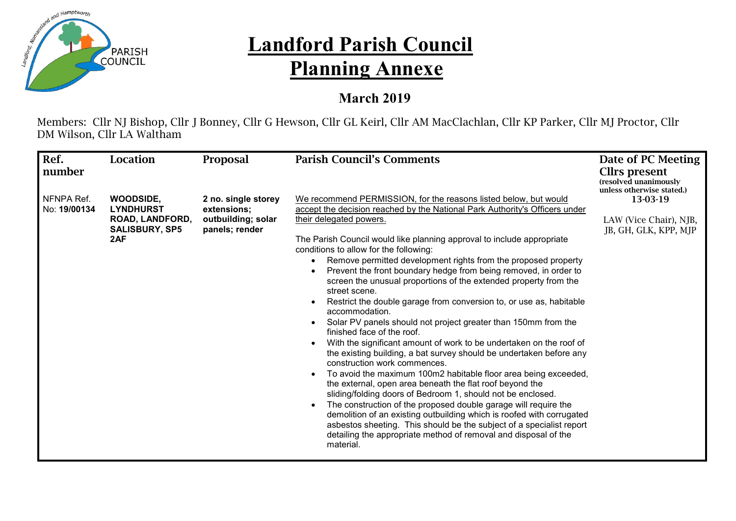

## **Landford Parish Council Planning Annexe**

## **March 2019**

Members: Cllr NJ Bishop, Cllr J Bonney, Cllr G Hewson, Cllr GL Keirl, Cllr AM MacClachlan, Cllr KP Parker, Cllr MJ Proctor, Cllr DM Wilson, Cllr LA Waltham

| Ref.<br>number             | Location                                                                                | <b>Proposal</b>                                                            | <b>Parish Council's Comments</b>                                                                                                                                                                                                                                                                                                                                                                                                                                                                                                                                                                                                                                                                                                                                                                                                                                                                                                                                                                                                                                                                                                                                                                                                                                                                                                                                                                   | Date of PC Meeting<br>Cllrs present<br>(resolved unanimously<br>unless otherwise stated.) |
|----------------------------|-----------------------------------------------------------------------------------------|----------------------------------------------------------------------------|----------------------------------------------------------------------------------------------------------------------------------------------------------------------------------------------------------------------------------------------------------------------------------------------------------------------------------------------------------------------------------------------------------------------------------------------------------------------------------------------------------------------------------------------------------------------------------------------------------------------------------------------------------------------------------------------------------------------------------------------------------------------------------------------------------------------------------------------------------------------------------------------------------------------------------------------------------------------------------------------------------------------------------------------------------------------------------------------------------------------------------------------------------------------------------------------------------------------------------------------------------------------------------------------------------------------------------------------------------------------------------------------------|-------------------------------------------------------------------------------------------|
| NFNPA Ref.<br>No: 19/00134 | <b>WOODSIDE,</b><br><b>LYNDHURST</b><br>ROAD, LANDFORD,<br><b>SALISBURY, SP5</b><br>2AF | 2 no. single storey<br>extensions;<br>outbuilding; solar<br>panels; render | We recommend PERMISSION, for the reasons listed below, but would<br>accept the decision reached by the National Park Authority's Officers under<br>their delegated powers.<br>The Parish Council would like planning approval to include appropriate<br>conditions to allow for the following:<br>Remove permitted development rights from the proposed property<br>Prevent the front boundary hedge from being removed, in order to<br>screen the unusual proportions of the extended property from the<br>street scene.<br>Restrict the double garage from conversion to, or use as, habitable<br>accommodation.<br>Solar PV panels should not project greater than 150mm from the<br>finished face of the roof.<br>With the significant amount of work to be undertaken on the roof of<br>the existing building, a bat survey should be undertaken before any<br>construction work commences.<br>To avoid the maximum 100m2 habitable floor area being exceeded,<br>the external, open area beneath the flat roof beyond the<br>sliding/folding doors of Bedroom 1, should not be enclosed.<br>The construction of the proposed double garage will require the<br>demolition of an existing outbuilding which is roofed with corrugated<br>asbestos sheeting. This should be the subject of a specialist report<br>detailing the appropriate method of removal and disposal of the<br>material. | 13-03-19<br>LAW (Vice Chair), NJB,<br>JB, GH, GLK, KPP, MJP                               |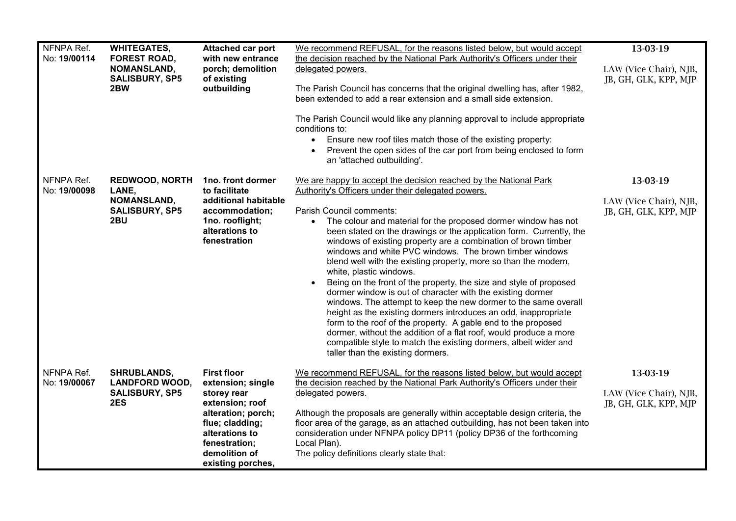| NFNPA Ref.<br>No: 19/00114 | <b>WHITEGATES,</b><br><b>FOREST ROAD,</b><br>NOMANSLAND,<br><b>SALISBURY, SP5</b><br>2BW | Attached car port<br>with new entrance<br>porch; demolition<br>of existing<br>outbuilding                                                                                                   | We recommend REFUSAL, for the reasons listed below, but would accept<br>the decision reached by the National Park Authority's Officers under their<br>delegated powers.<br>The Parish Council has concerns that the original dwelling has, after 1982,<br>been extended to add a rear extension and a small side extension.<br>The Parish Council would like any planning approval to include appropriate<br>conditions to:<br>• Ensure new roof tiles match those of the existing property:<br>Prevent the open sides of the car port from being enclosed to form<br>an 'attached outbuilding'.                                                                                                                                                                                                                                                                                                                                                                                                                                                             | 13-03-19<br>LAW (Vice Chair), NJB,<br>JB, GH, GLK, KPP, MJP |
|----------------------------|------------------------------------------------------------------------------------------|---------------------------------------------------------------------------------------------------------------------------------------------------------------------------------------------|--------------------------------------------------------------------------------------------------------------------------------------------------------------------------------------------------------------------------------------------------------------------------------------------------------------------------------------------------------------------------------------------------------------------------------------------------------------------------------------------------------------------------------------------------------------------------------------------------------------------------------------------------------------------------------------------------------------------------------------------------------------------------------------------------------------------------------------------------------------------------------------------------------------------------------------------------------------------------------------------------------------------------------------------------------------|-------------------------------------------------------------|
| NFNPA Ref.<br>No: 19/00098 | <b>REDWOOD, NORTH</b><br>LANE,<br>NOMANSLAND,<br><b>SALISBURY, SP5</b><br>2BU            | 1no. front dormer<br>to facilitate<br>additional habitable<br>accommodation;<br>1no. rooflight;<br>alterations to<br>fenestration                                                           | We are happy to accept the decision reached by the National Park<br>Authority's Officers under their delegated powers.<br>Parish Council comments:<br>The colour and material for the proposed dormer window has not<br>$\bullet$<br>been stated on the drawings or the application form. Currently, the<br>windows of existing property are a combination of brown timber<br>windows and white PVC windows. The brown timber windows<br>blend well with the existing property, more so than the modern,<br>white, plastic windows.<br>Being on the front of the property, the size and style of proposed<br>dormer window is out of character with the existing dormer<br>windows. The attempt to keep the new dormer to the same overall<br>height as the existing dormers introduces an odd, inappropriate<br>form to the roof of the property. A gable end to the proposed<br>dormer, without the addition of a flat roof, would produce a more<br>compatible style to match the existing dormers, albeit wider and<br>taller than the existing dormers. | 13-03-19<br>LAW (Vice Chair), NJB,<br>JB, GH, GLK, KPP, MJP |
| NFNPA Ref.<br>No: 19/00067 | <b>SHRUBLANDS,</b><br><b>LANDFORD WOOD,</b><br><b>SALISBURY, SP5</b><br>2ES              | <b>First floor</b><br>extension; single<br>storey rear<br>extension; roof<br>alteration; porch;<br>flue; cladding;<br>alterations to<br>fenestration;<br>demolition of<br>existing porches, | We recommend REFUSAL, for the reasons listed below, but would accept<br>the decision reached by the National Park Authority's Officers under their<br>delegated powers.<br>Although the proposals are generally within acceptable design criteria, the<br>floor area of the garage, as an attached outbuilding, has not been taken into<br>consideration under NFNPA policy DP11 (policy DP36 of the forthcoming<br>Local Plan).<br>The policy definitions clearly state that:                                                                                                                                                                                                                                                                                                                                                                                                                                                                                                                                                                               | 13-03-19<br>LAW (Vice Chair), NJB,<br>JB, GH, GLK, KPP, MJP |